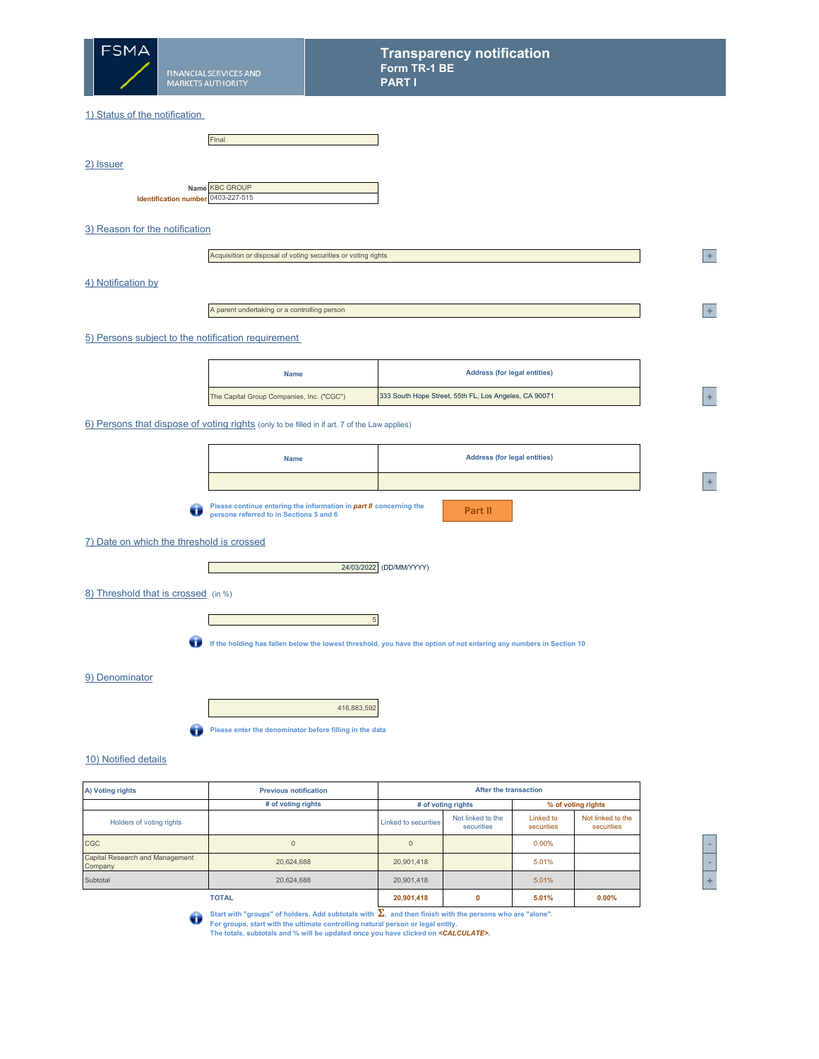

2) Issuer

#### 1) Status of the notification

|                                    | Final                 |
|------------------------------------|-----------------------|
|                                    |                       |
|                                    |                       |
|                                    |                       |
|                                    | Name <b>KBC GROUP</b> |
| Identification number 0403-227-515 |                       |

### 3) Reason for the notification

|  | Acquisition or disposal of voting securities or voting rights |
|--|---------------------------------------------------------------|
|--|---------------------------------------------------------------|

### 4) Notification by

A parent undertaking or a controlling person

# 5) Persons subject to the notification requirement

| <b>Name</b>                               | <b>Address (for legal entities)</b>                   |  |
|-------------------------------------------|-------------------------------------------------------|--|
| The Capital Group Companies, Inc. ("CGC") | 333 South Hope Street, 55th FL, Los Angeles, CA 90071 |  |

#### 6) Persons that dispose of voting rights (only to be filled in if art. 7 of the Law applies)

| <b>Name</b> | <b>Address (for legal entities)</b> |
|-------------|-------------------------------------|
|             |                                     |

**Please continue entering the information in** *part II* **concerning the persons referred to in Sections 5 and 6**

| . . |  |
|-----|--|
|     |  |

Г

# 7) Date on which the threshold is crossed

Г



#### 8) Threshold that is crossed (in %)

5 **If the holding has fallen below the lowest threshold, you have the option of not entering any numbers in Section 10** 

### 9) Denominator

|--|



# 10) Notified details

| A) Voting rights                           | <b>Previous notification</b> |                             |                                 | After the transaction   |                                 |  |
|--------------------------------------------|------------------------------|-----------------------------|---------------------------------|-------------------------|---------------------------------|--|
|                                            | # of voting rights           |                             | # of voting rights              |                         | % of voting rights              |  |
| Holders of voting rights                   |                              | <b>Linked to securities</b> | Not linked to the<br>securities | Linked to<br>securities | Not linked to the<br>securities |  |
| <b>CGC</b>                                 |                              | $\Omega$                    |                                 | 0.00%                   |                                 |  |
| Capital Research and Management<br>Company | 20.624.688                   | 20,901,418                  |                                 | 5.01%                   |                                 |  |
| Subtotal                                   | 20.624.688                   | 20.901.418                  |                                 | 5.01%                   |                                 |  |
|                                            | <b>TOTAL</b>                 | 20,901,418                  | 0                               | 5.01%                   | 0.00%                           |  |



**<sup>2</sup> +** 

**<sup>A</sup> +** 

Start with "groups" of holders. Add subtotals with Σ, and then finish with the persons who are "alone".<br>For groups, start with the ultimate controlling natural person or legal entity.<br>The totals, subtotals and % will be u